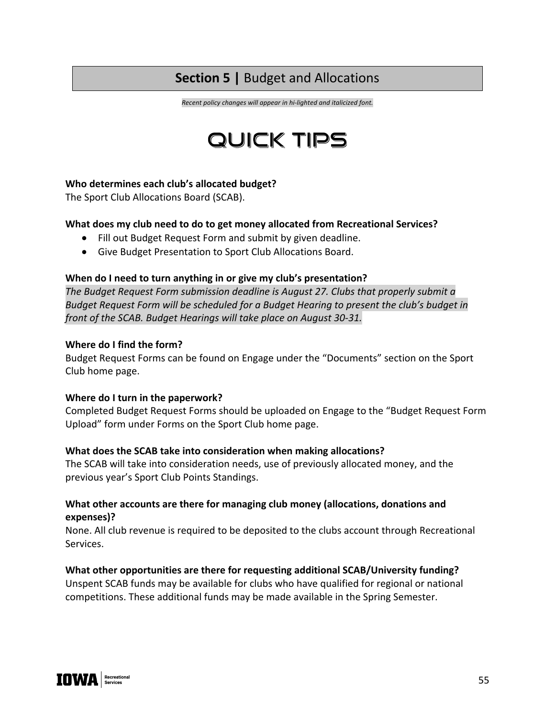# **Section 5 |** Budget and Allocations

*Recent policy changes will appear in hi-lighted and italicized font.*

# QUICK TIPS

#### **Who determines each club's allocated budget?**

The Sport Club Allocations Board (SCAB).

#### **What does my club need to do to get money allocated from Recreational Services?**

- Fill out Budget Request Form and submit by given deadline.
- Give Budget Presentation to Sport Club Allocations Board.

#### **When do I need to turn anything in or give my club's presentation?**

*The Budget Request Form submission deadline is August 27. Clubs that properly submit a Budget Request Form will be scheduled for a Budget Hearing to present the club's budget in front of the SCAB. Budget Hearings will take place on August 30-31.* 

#### **Where do I find the form?**

Budget Request Forms can be found on Engage under the "Documents" section on the Sport Club home page.

#### **Where do I turn in the paperwork?**

Completed Budget Request Forms should be uploaded on Engage to the "Budget Request Form Upload" form under Forms on the Sport Club home page.

#### **What does the SCAB take into consideration when making allocations?**

The SCAB will take into consideration needs, use of previously allocated money, and the previous year's Sport Club Points Standings.

### **What other accounts are there for managing club money (allocations, donations and expenses)?**

None. All club revenue is required to be deposited to the clubs account through Recreational Services.

#### **What other opportunities are there for requesting additional SCAB/University funding?**

Unspent SCAB funds may be available for clubs who have qualified for regional or national competitions. These additional funds may be made available in the Spring Semester.

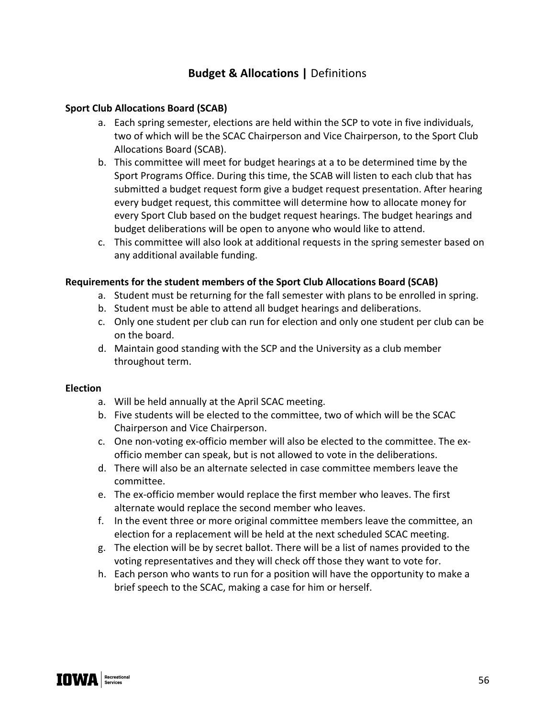# **Budget & Allocations |** Definitions

#### **Sport Club Allocations Board (SCAB)**

- a. Each spring semester, elections are held within the SCP to vote in five individuals, two of which will be the SCAC Chairperson and Vice Chairperson, to the Sport Club Allocations Board (SCAB).
- b. This committee will meet for budget hearings at a to be determined time by the Sport Programs Office. During this time, the SCAB will listen to each club that has submitted a budget request form give a budget request presentation. After hearing every budget request, this committee will determine how to allocate money for every Sport Club based on the budget request hearings. The budget hearings and budget deliberations will be open to anyone who would like to attend.
- c. This committee will also look at additional requests in the spring semester based on any additional available funding.

#### **Requirements for the student members of the Sport Club Allocations Board (SCAB)**

- a. Student must be returning for the fall semester with plans to be enrolled in spring.
- b. Student must be able to attend all budget hearings and deliberations.
- c. Only one student per club can run for election and only one student per club can be on the board.
- d. Maintain good standing with the SCP and the University as a club member throughout term.

#### **Election**

- a. Will be held annually at the April SCAC meeting.
- b. Five students will be elected to the committee, two of which will be the SCAC Chairperson and Vice Chairperson.
- c. One non-voting ex-officio member will also be elected to the committee. The exofficio member can speak, but is not allowed to vote in the deliberations.
- d. There will also be an alternate selected in case committee members leave the committee.
- e. The ex-officio member would replace the first member who leaves. The first alternate would replace the second member who leaves.
- f. In the event three or more original committee members leave the committee, an election for a replacement will be held at the next scheduled SCAC meeting.
- g. The election will be by secret ballot. There will be a list of names provided to the voting representatives and they will check off those they want to vote for.
- h. Each person who wants to run for a position will have the opportunity to make a brief speech to the SCAC, making a case for him or herself.

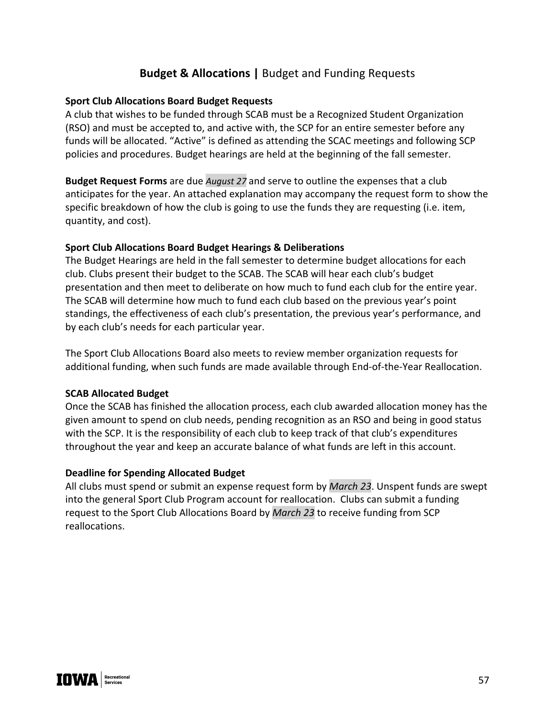# **Budget & Allocations |** Budget and Funding Requests

#### **Sport Club Allocations Board Budget Requests**

A club that wishes to be funded through SCAB must be a Recognized Student Organization (RSO) and must be accepted to, and active with, the SCP for an entire semester before any funds will be allocated. "Active" is defined as attending the SCAC meetings and following SCP policies and procedures. Budget hearings are held at the beginning of the fall semester.

**Budget Request Forms** are due *August 27* and serve to outline the expenses that a club anticipates for the year. An attached explanation may accompany the request form to show the specific breakdown of how the club is going to use the funds they are requesting (i.e. item, quantity, and cost).

#### **Sport Club Allocations Board Budget Hearings & Deliberations**

The Budget Hearings are held in the fall semester to determine budget allocations for each club. Clubs present their budget to the SCAB. The SCAB will hear each club's budget presentation and then meet to deliberate on how much to fund each club for the entire year. The SCAB will determine how much to fund each club based on the previous year's point standings, the effectiveness of each club's presentation, the previous year's performance, and by each club's needs for each particular year.

The Sport Club Allocations Board also meets to review member organization requests for additional funding, when such funds are made available through End-of-the-Year Reallocation.

### **SCAB Allocated Budget**

Once the SCAB has finished the allocation process, each club awarded allocation money has the given amount to spend on club needs, pending recognition as an RSO and being in good status with the SCP. It is the responsibility of each club to keep track of that club's expenditures throughout the year and keep an accurate balance of what funds are left in this account.

### **Deadline for Spending Allocated Budget**

All clubs must spend or submit an expense request form by *March 23*. Unspent funds are swept into the general Sport Club Program account for reallocation. Clubs can submit a funding request to the Sport Club Allocations Board by *March 23* to receive funding from SCP reallocations.

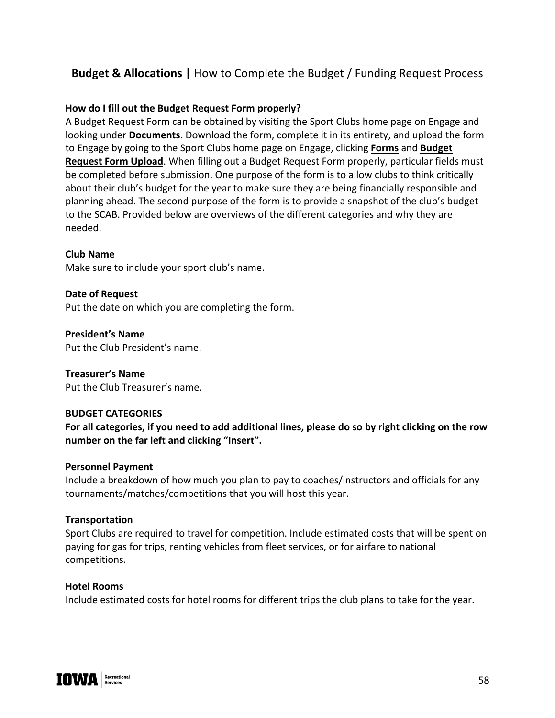# **Budget & Allocations |** How to Complete the Budget / Funding Request Process

#### **How do I fill out the Budget Request Form properly?**

A Budget Request Form can be obtained by visiting the Sport Clubs home page on Engage and looking under **Documents**. Download the form, complete it in its entirety, and upload the form to Engage by going to the Sport Clubs home page on Engage, clicking **Forms** and **Budget Request Form Upload**. When filling out a Budget Request Form properly, particular fields must be completed before submission. One purpose of the form is to allow clubs to think critically about their club's budget for the year to make sure they are being financially responsible and planning ahead. The second purpose of the form is to provide a snapshot of the club's budget to the SCAB. Provided below are overviews of the different categories and why they are needed.

#### **Club Name**

Make sure to include your sport club's name.

**Date of Request**  Put the date on which you are completing the form.

**President's Name**  Put the Club President's name.

#### **Treasurer's Name**

Put the Club Treasurer's name.

#### **BUDGET CATEGORIES**

**For all categories, if you need to add additional lines, please do so by right clicking on the row number on the far left and clicking "Insert".**

#### **Personnel Payment**

Include a breakdown of how much you plan to pay to coaches/instructors and officials for any tournaments/matches/competitions that you will host this year.

#### **Transportation**

Sport Clubs are required to travel for competition. Include estimated costs that will be spent on paying for gas for trips, renting vehicles from fleet services, or for airfare to national competitions.

#### **Hotel Rooms**

Include estimated costs for hotel rooms for different trips the club plans to take for the year.

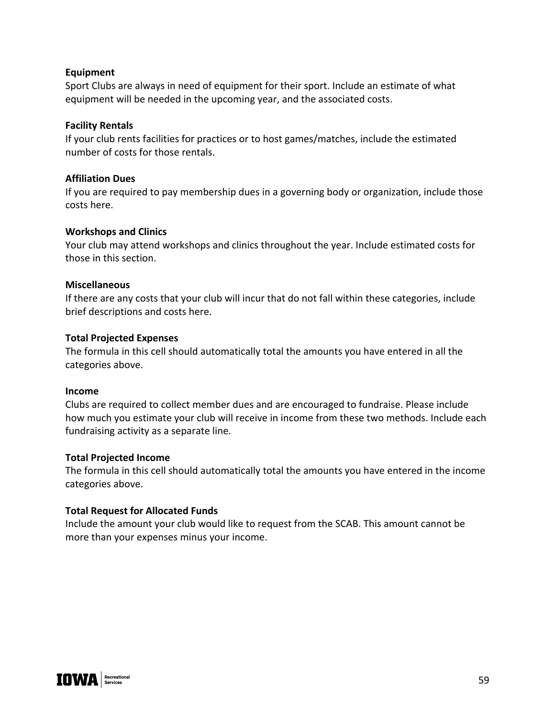#### **Equipment**

Sport Clubs are always in need of equipment for their sport. Include an estimate of what equipment will be needed in the upcoming year, and the associated costs.

#### **Facility Rentals**

If your club rents facilities for practices or to host games/matches, include the estimated number of costs for those rentals.

#### **Affiliation Dues**

If you are required to pay membership dues in a governing body or organization, include those costs here.

#### **Workshops and Clinics**

Your club may attend workshops and clinics throughout the year. Include estimated costs for those in this section.

#### **Miscellaneous**

If there are any costs that your club will incur that do not fall within these categories, include brief descriptions and costs here.

#### **Total Projected Expenses**

The formula in this cell should automatically total the amounts you have entered in all the categories above.

#### **Income**

Clubs are required to collect member dues and are encouraged to fundraise. Please include how much you estimate your club will receive in income from these two methods. Include each fundraising activity as a separate line.

#### **Total Projected Income**

The formula in this cell should automatically total the amounts you have entered in the income categories above.

### **Total Request for Allocated Funds**

Include the amount your club would like to request from the SCAB. This amount cannot be more than your expenses minus your income.

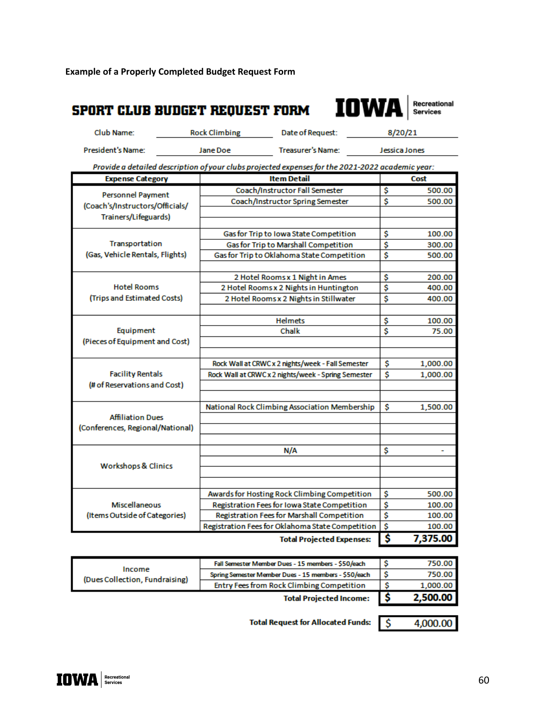**Example of a Properly Completed Budget Request Form**

#### IOW. **SPORT CLUB BUDGET REQUEST FORM Services** Club Name: **Rock Climbing** Date of Request: 8/20/21 President's Name: **Jane Doe Treasurer's Name:** Jessica Jones Provide a detailed description of your clubs projected expenses for the 2021-2022 academic year: **Item Detail Expense Category** Cost Coach/Instructor Fall Semester \$ 500.00 **Personnel Payment** Coach/Instructor Spring Semester \$ 500.00 (Coach's/Instructors/Officials/ Trainers/Lifeguards) Gas for Trip to Iowa State Competition \$ 100.00 Transportation **Gas for Trip to Marshall Competition** \$ 300.00 (Gas, Vehicle Rentals, Flights) Gas for Trip to Oklahoma State Competition \$ 500.00 2 Hotel Rooms x 1 Night in Ames \$ 200.00 **Hotel Rooms** 2 Hotel Rooms x 2 Nights in Huntington 400.00 \$ (Trips and Estimated Costs) 400.00 2 Hotel Rooms x 2 Nights in Stillwater \$ **Helmets** \$ 100.00 Equipment Chalk \$ 75.00 (Pieces of Equipment and Cost) Rock Wall at CRWC x 2 nights/week - Fall Semester \$ 1,000.00 **Facility Rentals** 1,000.00 Rock Wall at CRWC x 2 nights/week - Spring Semester \$ (# of Reservations and Cost) National Rock Climbing Association Membership \$ 1,500.00 **Affiliation Dues** (Conferences, Regional/National)  $N/A$ \$ ۰ **Workshops & Clinics** Awards for Hosting Rock Climbing Competition \$ 500.00 Miscellaneous Registration Fees for Iowa State Competition 100.00 \$ (Items Outside of Categories) Registration Fees for Marshall Competition \$ 100.00 Registration Fees for Oklahoma State Competition \$. 100.00 \$ 7,375.00 **Total Projected Expenses:**

|                                          | <b>Total Projected Income:</b>                       | 2,500.00 |
|------------------------------------------|------------------------------------------------------|----------|
| Income<br>(Dues Collection, Fundraising) | Entry Fees from Rock Climbing Competition            | 1,000.00 |
|                                          | Spring Semester Member Dues - 15 members - \$50/each | 750.00   |
|                                          | Fall Semester Member Dues - 15 members - \$50/each   | 750.00   |

**Total Request for Allocated Funds:** 

4,000.00

\$

Recreational

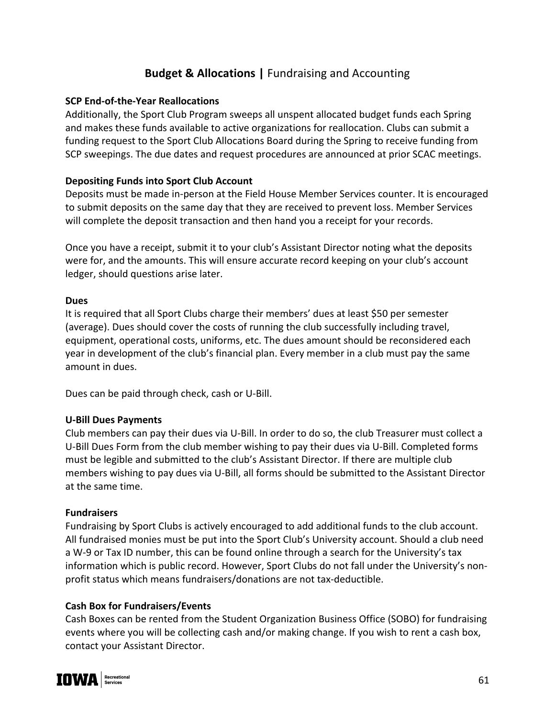# **Budget & Allocations |** Fundraising and Accounting

#### **SCP End-of-the-Year Reallocations**

Additionally, the Sport Club Program sweeps all unspent allocated budget funds each Spring and makes these funds available to active organizations for reallocation. Clubs can submit a funding request to the Sport Club Allocations Board during the Spring to receive funding from SCP sweepings. The due dates and request procedures are announced at prior SCAC meetings.

#### **Depositing Funds into Sport Club Account**

Deposits must be made in-person at the Field House Member Services counter. It is encouraged to submit deposits on the same day that they are received to prevent loss. Member Services will complete the deposit transaction and then hand you a receipt for your records.

Once you have a receipt, submit it to your club's Assistant Director noting what the deposits were for, and the amounts. This will ensure accurate record keeping on your club's account ledger, should questions arise later.

#### **Dues**

It is required that all Sport Clubs charge their members' dues at least \$50 per semester (average). Dues should cover the costs of running the club successfully including travel, equipment, operational costs, uniforms, etc. The dues amount should be reconsidered each year in development of the club's financial plan. Every member in a club must pay the same amount in dues.

Dues can be paid through check, cash or U-Bill.

#### **U-Bill Dues Payments**

Club members can pay their dues via U-Bill. In order to do so, the club Treasurer must collect a U-Bill Dues Form from the club member wishing to pay their dues via U-Bill. Completed forms must be legible and submitted to the club's Assistant Director. If there are multiple club members wishing to pay dues via U-Bill, all forms should be submitted to the Assistant Director at the same time.

#### **Fundraisers**

Fundraising by Sport Clubs is actively encouraged to add additional funds to the club account. All fundraised monies must be put into the Sport Club's University account. Should a club need a W-9 or Tax ID number, this can be found online through a search for the University's tax information which is public record. However, Sport Clubs do not fall under the University's nonprofit status which means fundraisers/donations are not tax-deductible.

### **Cash Box for Fundraisers/Events**

Cash Boxes can be rented from the Student Organization Business Office (SOBO) for fundraising events where you will be collecting cash and/or making change. If you wish to rent a cash box, contact your Assistant Director.

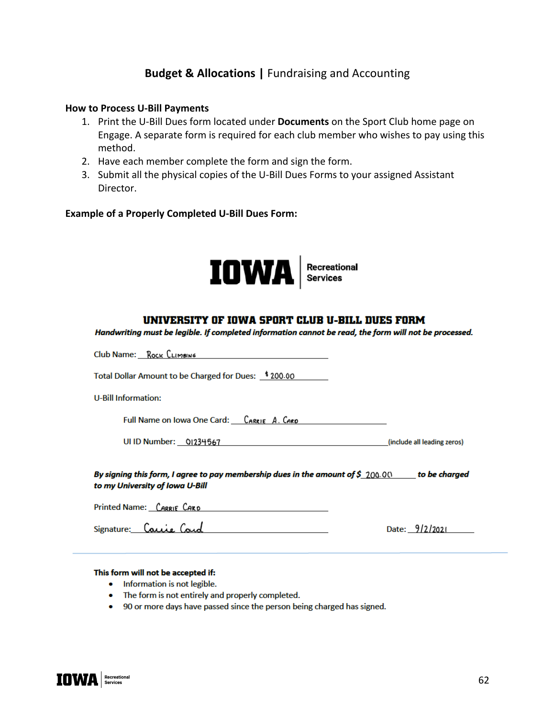## **Budget & Allocations |** Fundraising and Accounting

#### **How to Process U-Bill Payments**

- 1. Print the U-Bill Dues form located under **Documents** on the Sport Club home page on Engage. A separate form is required for each club member who wishes to pay using this method.
- 2. Have each member complete the form and sign the form.
- 3. Submit all the physical copies of the U-Bill Dues Forms to your assigned Assistant Director.

#### **Example of a Properly Completed U-Bill Dues Form:**



#### UNIVERSITY OF IOWA SPORT CLUB U-BILL DUES FORM

Handwriting must be legible. If completed information cannot be read, the form will not be processed.

| Club Name: Rock CLIMBING                                                                                                                    |                             |  |  |  |
|---------------------------------------------------------------------------------------------------------------------------------------------|-----------------------------|--|--|--|
| Total Dollar Amount to be Charged for Dues: \$200.00                                                                                        |                             |  |  |  |
| U-Bill Information:                                                                                                                         |                             |  |  |  |
| Full Name on Iowa One Card: CARRIE A. CARD                                                                                                  |                             |  |  |  |
| UI ID Number: 01234567                                                                                                                      | (include all leading zeros) |  |  |  |
| By signing this form, I agree to pay membership dues in the amount of $\mathcal S$ 200.000 to be charged<br>to my University of Iowa U-Bill |                             |  |  |  |
| Printed Name: CARRIE CARD                                                                                                                   |                             |  |  |  |
| Signature: Carrie                                                                                                                           | Date:                       |  |  |  |

#### This form will not be accepted if:

- Information is not legible.
- The form is not entirely and properly completed.
- 90 or more days have passed since the person being charged has signed.